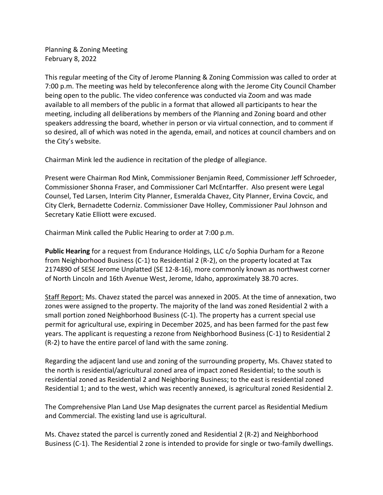Planning & Zoning Meeting February 8, 2022

This regular meeting of the City of Jerome Planning & Zoning Commission was called to order at 7:00 p.m. The meeting was held by teleconference along with the Jerome City Council Chamber being open to the public. The video conference was conducted via Zoom and was made available to all members of the public in a format that allowed all participants to hear the meeting, including all deliberations by members of the Planning and Zoning board and other speakers addressing the board, whether in person or via virtual connection, and to comment if so desired, all of which was noted in the agenda, email, and notices at council chambers and on the City's website.

Chairman Mink led the audience in recitation of the pledge of allegiance.

Present were Chairman Rod Mink, Commissioner Benjamin Reed, Commissioner Jeff Schroeder, Commissioner Shonna Fraser, and Commissioner Carl McEntarffer. Also present were Legal Counsel, Ted Larsen, Interim City Planner, Esmeralda Chavez, City Planner, Ervina Covcic, and City Clerk, Bernadette Coderniz. Commissioner Dave Holley, Commissioner Paul Johnson and Secretary Katie Elliott were excused.

Chairman Mink called the Public Hearing to order at 7:00 p.m.

**Public Hearing** for a request from Endurance Holdings, LLC c/o Sophia Durham for a Rezone from Neighborhood Business (C-1) to Residential 2 (R-2), on the property located at Tax 2174890 of SESE Jerome Unplatted (SE 12-8-16), more commonly known as northwest corner of North Lincoln and 16th Avenue West, Jerome, Idaho, approximately 38.70 acres.

Staff Report: Ms. Chavez stated the parcel was annexed in 2005. At the time of annexation, two zones were assigned to the property. The majority of the land was zoned Residential 2 with a small portion zoned Neighborhood Business (C-1). The property has a current special use permit for agricultural use, expiring in December 2025, and has been farmed for the past few years. The applicant is requesting a rezone from Neighborhood Business (C-1) to Residential 2 (R-2) to have the entire parcel of land with the same zoning.

Regarding the adjacent land use and zoning of the surrounding property, Ms. Chavez stated to the north is residential/agricultural zoned area of impact zoned Residential; to the south is residential zoned as Residential 2 and Neighboring Business; to the east is residential zoned Residential 1; and to the west, which was recently annexed, is agricultural zoned Residential 2.

The Comprehensive Plan Land Use Map designates the current parcel as Residential Medium and Commercial. The existing land use is agricultural.

Ms. Chavez stated the parcel is currently zoned and Residential 2 (R-2) and Neighborhood Business (C-1). The Residential 2 zone is intended to provide for single or two-family dwellings.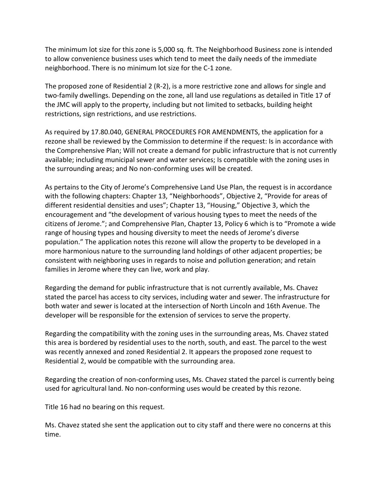The minimum lot size for this zone is 5,000 sq. ft. The Neighborhood Business zone is intended to allow convenience business uses which tend to meet the daily needs of the immediate neighborhood. There is no minimum lot size for the C-1 zone.

The proposed zone of Residential 2 (R-2), is a more restrictive zone and allows for single and two-family dwellings. Depending on the zone, all land use regulations as detailed in Title 17 of the JMC will apply to the property, including but not limited to setbacks, building height restrictions, sign restrictions, and use restrictions.

As required by 17.80.040, GENERAL PROCEDURES FOR AMENDMENTS, the application for a rezone shall be reviewed by the Commission to determine if the request: Is in accordance with the Comprehensive Plan; Will not create a demand for public infrastructure that is not currently available; including municipal sewer and water services; Is compatible with the zoning uses in the surrounding areas; and No non-conforming uses will be created.

As pertains to the City of Jerome's Comprehensive Land Use Plan, the request is in accordance with the following chapters: Chapter 13, "Neighborhoods", Objective 2, "Provide for areas of different residential densities and uses"; Chapter 13, "Housing," Objective 3, which the encouragement and "the development of various housing types to meet the needs of the citizens of Jerome."; and Comprehensive Plan, Chapter 13, Policy 6 which is to "Promote a wide range of housing types and housing diversity to meet the needs of Jerome's diverse population." The application notes this rezone will allow the property to be developed in a more harmonious nature to the surrounding land holdings of other adjacent properties; be consistent with neighboring uses in regards to noise and pollution generation; and retain families in Jerome where they can live, work and play.

Regarding the demand for public infrastructure that is not currently available, Ms. Chavez stated the parcel has access to city services, including water and sewer. The infrastructure for both water and sewer is located at the intersection of North Lincoln and 16th Avenue. The developer will be responsible for the extension of services to serve the property.

Regarding the compatibility with the zoning uses in the surrounding areas, Ms. Chavez stated this area is bordered by residential uses to the north, south, and east. The parcel to the west was recently annexed and zoned Residential 2. It appears the proposed zone request to Residential 2, would be compatible with the surrounding area.

Regarding the creation of non-conforming uses, Ms. Chavez stated the parcel is currently being used for agricultural land. No non-conforming uses would be created by this rezone.

Title 16 had no bearing on this request.

Ms. Chavez stated she sent the application out to city staff and there were no concerns at this time.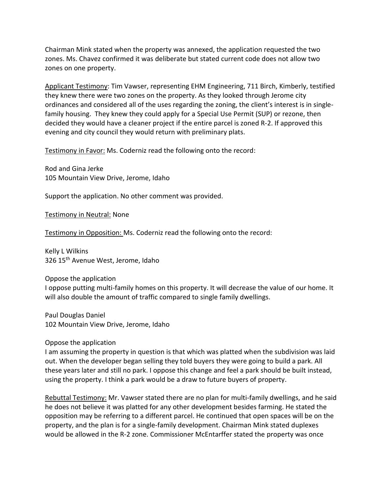Chairman Mink stated when the property was annexed, the application requested the two zones. Ms. Chavez confirmed it was deliberate but stated current code does not allow two zones on one property.

Applicant Testimony: Tim Vawser, representing EHM Engineering, 711 Birch, Kimberly, testified they knew there were two zones on the property. As they looked through Jerome city ordinances and considered all of the uses regarding the zoning, the client's interest is in singlefamily housing. They knew they could apply for a Special Use Permit (SUP) or rezone, then decided they would have a cleaner project if the entire parcel is zoned R-2. If approved this evening and city council they would return with preliminary plats.

Testimony in Favor: Ms. Coderniz read the following onto the record:

Rod and Gina Jerke 105 Mountain View Drive, Jerome, Idaho

Support the application. No other comment was provided.

Testimony in Neutral: None

Testimony in Opposition: Ms. Coderniz read the following onto the record:

Kelly L Wilkins 326 15<sup>th</sup> Avenue West, Jerome, Idaho

Oppose the application I oppose putting multi-family homes on this property. It will decrease the value of our home. It will also double the amount of traffic compared to single family dwellings.

Paul Douglas Daniel 102 Mountain View Drive, Jerome, Idaho

Oppose the application

I am assuming the property in question is that which was platted when the subdivision was laid out. When the developer began selling they told buyers they were going to build a park. All these years later and still no park. I oppose this change and feel a park should be built instead, using the property. I think a park would be a draw to future buyers of property.

Rebuttal Testimony: Mr. Vawser stated there are no plan for multi-family dwellings, and he said he does not believe it was platted for any other development besides farming. He stated the opposition may be referring to a different parcel. He continued that open spaces will be on the property, and the plan is for a single-family development. Chairman Mink stated duplexes would be allowed in the R-2 zone. Commissioner McEntarffer stated the property was once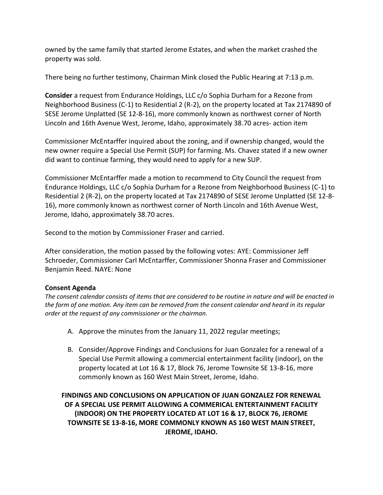owned by the same family that started Jerome Estates, and when the market crashed the property was sold.

There being no further testimony, Chairman Mink closed the Public Hearing at 7:13 p.m.

**Consider** a request from Endurance Holdings, LLC c/o Sophia Durham for a Rezone from Neighborhood Business (C-1) to Residential 2 (R-2), on the property located at Tax 2174890 of SESE Jerome Unplatted (SE 12-8-16), more commonly known as northwest corner of North Lincoln and 16th Avenue West, Jerome, Idaho, approximately 38.70 acres- action item

Commissioner McEntarffer inquired about the zoning, and if ownership changed, would the new owner require a Special Use Permit (SUP) for farming. Ms. Chavez stated if a new owner did want to continue farming, they would need to apply for a new SUP.

Commissioner McEntarffer made a motion to recommend to City Council the request from Endurance Holdings, LLC c/o Sophia Durham for a Rezone from Neighborhood Business (C-1) to Residential 2 (R-2), on the property located at Tax 2174890 of SESE Jerome Unplatted (SE 12-8- 16), more commonly known as northwest corner of North Lincoln and 16th Avenue West, Jerome, Idaho, approximately 38.70 acres.

Second to the motion by Commissioner Fraser and carried.

After consideration, the motion passed by the following votes: AYE: Commissioner Jeff Schroeder, Commissioner Carl McEntarffer, Commissioner Shonna Fraser and Commissioner Benjamin Reed. NAYE: None

# **Consent Agenda**

*The consent calendar consists of items that are considered to be routine in nature and will be enacted in the form of one motion. Any item can be removed from the consent calendar and heard in its regular order at the request of any commissioner or the chairman.* 

- A. Approve the minutes from the January 11, 2022 regular meetings;
- B. Consider/Approve Findings and Conclusions for Juan Gonzalez for a renewal of a Special Use Permit allowing a commercial entertainment facility (indoor), on the property located at Lot 16 & 17, Block 76, Jerome Townsite SE 13-8-16, more commonly known as 160 West Main Street, Jerome, Idaho.

**FINDINGS AND CONCLUSIONS ON APPLICATION OF JUAN GONZALEZ FOR RENEWAL OF A SPECIAL USE PERMIT ALLOWING A COMMERICAL ENTERTAINMENT FACILITY (INDOOR) ON THE PROPERTY LOCATED AT LOT 16 & 17, BLOCK 76, JEROME TOWNSITE SE 13-8-16, MORE COMMONLY KNOWN AS 160 WEST MAIN STREET, JEROME, IDAHO.**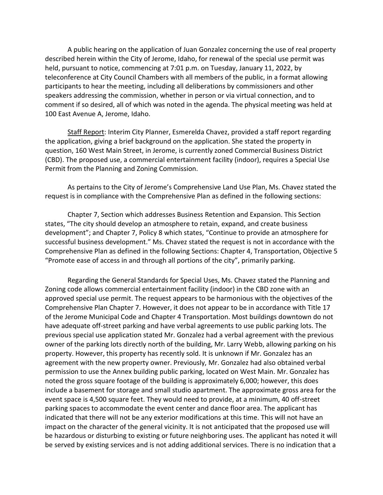A public hearing on the application of Juan Gonzalez concerning the use of real property described herein within the City of Jerome, Idaho, for renewal of the special use permit was held, pursuant to notice, commencing at 7:01 p.m. on Tuesday, January 11, 2022, by teleconference at City Council Chambers with all members of the public, in a format allowing participants to hear the meeting, including all deliberations by commissioners and other speakers addressing the commission, whether in person or via virtual connection, and to comment if so desired, all of which was noted in the agenda. The physical meeting was held at 100 East Avenue A, Jerome, Idaho.

Staff Report: Interim City Planner, Esmerelda Chavez, provided a staff report regarding the application, giving a brief background on the application. She stated the property in question, 160 West Main Street, in Jerome, is currently zoned Commercial Business District (CBD). The proposed use, a commercial entertainment facility (indoor), requires a Special Use Permit from the Planning and Zoning Commission.

As pertains to the City of Jerome's Comprehensive Land Use Plan, Ms. Chavez stated the request is in compliance with the Comprehensive Plan as defined in the following sections:

Chapter 7, Section which addresses Business Retention and Expansion. This Section states, "The city should develop an atmosphere to retain, expand, and create business development"; and Chapter 7, Policy 8 which states, "Continue to provide an atmosphere for successful business development." Ms. Chavez stated the request is not in accordance with the Comprehensive Plan as defined in the following Sections: Chapter 4, Transportation, Objective 5 "Promote ease of access in and through all portions of the city", primarily parking.

Regarding the General Standards for Special Uses, Ms. Chavez stated the Planning and Zoning code allows commercial entertainment facility (indoor) in the CBD zone with an approved special use permit. The request appears to be harmonious with the objectives of the Comprehensive Plan Chapter 7. However, it does not appear to be in accordance with Title 17 of the Jerome Municipal Code and Chapter 4 Transportation. Most buildings downtown do not have adequate off-street parking and have verbal agreements to use public parking lots. The previous special use application stated Mr. Gonzalez had a verbal agreement with the previous owner of the parking lots directly north of the building, Mr. Larry Webb, allowing parking on his property. However, this property has recently sold. It is unknown if Mr. Gonzalez has an agreement with the new property owner. Previously, Mr. Gonzalez had also obtained verbal permission to use the Annex building public parking, located on West Main. Mr. Gonzalez has noted the gross square footage of the building is approximately 6,000; however, this does include a basement for storage and small studio apartment. The approximate gross area for the event space is 4,500 square feet. They would need to provide, at a minimum, 40 off-street parking spaces to accommodate the event center and dance floor area. The applicant has indicated that there will not be any exterior modifications at this time. This will not have an impact on the character of the general vicinity. It is not anticipated that the proposed use will be hazardous or disturbing to existing or future neighboring uses. The applicant has noted it will be served by existing services and is not adding additional services. There is no indication that a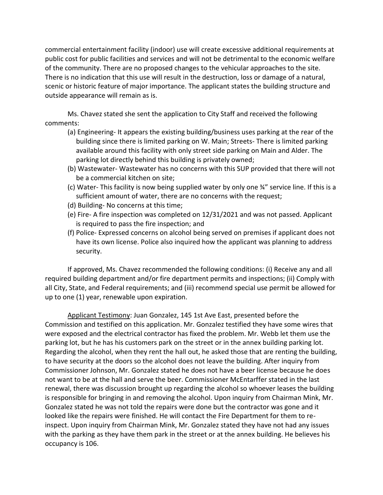commercial entertainment facility (indoor) use will create excessive additional requirements at public cost for public facilities and services and will not be detrimental to the economic welfare of the community. There are no proposed changes to the vehicular approaches to the site. There is no indication that this use will result in the destruction, loss or damage of a natural, scenic or historic feature of major importance. The applicant states the building structure and outside appearance will remain as is.

Ms. Chavez stated she sent the application to City Staff and received the following comments:

- (a) Engineering- It appears the existing building/business uses parking at the rear of the building since there is limited parking on W. Main; Streets- There is limited parking available around this facility with only street side parking on Main and Alder. The parking lot directly behind this building is privately owned;
- (b) Wastewater- Wastewater has no concerns with this SUP provided that there will not be a commercial kitchen on site;
- (c) Water- This facility is now being supplied water by only one ¾" service line. If this is a sufficient amount of water, there are no concerns with the request;
- (d) Building- No concerns at this time;
- (e) Fire- A fire inspection was completed on 12/31/2021 and was not passed. Applicant is required to pass the fire inspection; and
- (f) Police- Expressed concerns on alcohol being served on premises if applicant does not have its own license. Police also inquired how the applicant was planning to address security.

If approved, Ms. Chavez recommended the following conditions: (i) Receive any and all required building department and/or fire department permits and inspections; (ii) Comply with all City, State, and Federal requirements; and (iii) recommend special use permit be allowed for up to one (1) year, renewable upon expiration.

Applicant Testimony: Juan Gonzalez, 145 1st Ave East, presented before the Commission and testified on this application. Mr. Gonzalez testified they have some wires that were exposed and the electrical contractor has fixed the problem. Mr. Webb let them use the parking lot, but he has his customers park on the street or in the annex building parking lot. Regarding the alcohol, when they rent the hall out, he asked those that are renting the building, to have security at the doors so the alcohol does not leave the building. After inquiry from Commissioner Johnson, Mr. Gonzalez stated he does not have a beer license because he does not want to be at the hall and serve the beer. Commissioner McEntarffer stated in the last renewal, there was discussion brought up regarding the alcohol so whoever leases the building is responsible for bringing in and removing the alcohol. Upon inquiry from Chairman Mink, Mr. Gonzalez stated he was not told the repairs were done but the contractor was gone and it looked like the repairs were finished. He will contact the Fire Department for them to reinspect. Upon inquiry from Chairman Mink, Mr. Gonzalez stated they have not had any issues with the parking as they have them park in the street or at the annex building. He believes his occupancy is 106.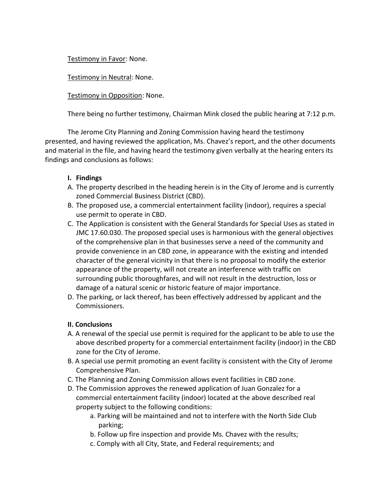Testimony in Favor: None.

Testimony in Neutral: None.

Testimony in Opposition: None.

There being no further testimony, Chairman Mink closed the public hearing at 7:12 p.m.

The Jerome City Planning and Zoning Commission having heard the testimony presented, and having reviewed the application, Ms. Chavez's report, and the other documents and material in the file, and having heard the testimony given verbally at the hearing enters its findings and conclusions as follows:

# **I. Findings**

- A. The property described in the heading herein is in the City of Jerome and is currently zoned Commercial Business District (CBD).
- B. The proposed use, a commercial entertainment facility (indoor), requires a special use permit to operate in CBD.
- C. The Application is consistent with the General Standards for Special Uses as stated in JMC 17.60.030. The proposed special uses is harmonious with the general objectives of the comprehensive plan in that businesses serve a need of the community and provide convenience in an CBD zone, in appearance with the existing and intended character of the general vicinity in that there is no proposal to modify the exterior appearance of the property, will not create an interference with traffic on surrounding public thoroughfares, and will not result in the destruction, loss or damage of a natural scenic or historic feature of major importance.
- D. The parking, or lack thereof, has been effectively addressed by applicant and the Commissioners.

# **II. Conclusions**

- A. A renewal of the special use permit is required for the applicant to be able to use the above described property for a commercial entertainment facility (indoor) in the CBD zone for the City of Jerome.
- B. A special use permit promoting an event facility is consistent with the City of Jerome Comprehensive Plan.
- C. The Planning and Zoning Commission allows event facilities in CBD zone.
- D. The Commission approves the renewed application of Juan Gonzalez for a commercial entertainment facility (indoor) located at the above described real property subject to the following conditions:
	- a. Parking will be maintained and not to interfere with the North Side Club parking;
	- b. Follow up fire inspection and provide Ms. Chavez with the results;
	- c. Comply with all City, State, and Federal requirements; and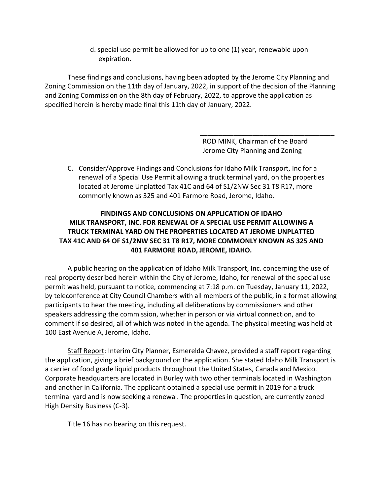d. special use permit be allowed for up to one (1) year, renewable upon expiration.

These findings and conclusions, having been adopted by the Jerome City Planning and Zoning Commission on the 11th day of January, 2022, in support of the decision of the Planning and Zoning Commission on the 8th day of February, 2022, to approve the application as specified herein is hereby made final this 11th day of January, 2022.

> ROD MINK, Chairman of the Board Jerome City Planning and Zoning

\_\_\_\_\_\_\_\_\_\_\_\_\_\_\_\_\_\_\_\_\_\_\_\_\_\_\_\_\_\_\_\_\_\_\_\_

C. Consider/Approve Findings and Conclusions for Idaho Milk Transport, Inc for a renewal of a Special Use Permit allowing a truck terminal yard, on the properties located at Jerome Unplatted Tax 41C and 64 of S1/2NW Sec 31 T8 R17, more commonly known as 325 and 401 Farmore Road, Jerome, Idaho.

# **FINDINGS AND CONCLUSIONS ON APPLICATION OF IDAHO MILK TRANSPORT, INC. FOR RENEWAL OF A SPECIAL USE PERMIT ALLOWING A TRUCK TERMINAL YARD ON THE PROPERTIES LOCATED AT JEROME UNPLATTED TAX 41C AND 64 OF S1/2NW SEC 31 T8 R17, MORE COMMONLY KNOWN AS 325 AND 401 FARMORE ROAD, JEROME, IDAHO.**

A public hearing on the application of Idaho Milk Transport, Inc. concerning the use of real property described herein within the City of Jerome, Idaho, for renewal of the special use permit was held, pursuant to notice, commencing at 7:18 p.m. on Tuesday, January 11, 2022, by teleconference at City Council Chambers with all members of the public, in a format allowing participants to hear the meeting, including all deliberations by commissioners and other speakers addressing the commission, whether in person or via virtual connection, and to comment if so desired, all of which was noted in the agenda. The physical meeting was held at 100 East Avenue A, Jerome, Idaho.

Staff Report: Interim City Planner, Esmerelda Chavez, provided a staff report regarding the application, giving a brief background on the application. She stated Idaho Milk Transport is a carrier of food grade liquid products throughout the United States, Canada and Mexico. Corporate headquarters are located in Burley with two other terminals located in Washington and another in California. The applicant obtained a special use permit in 2019 for a truck terminal yard and is now seeking a renewal. The properties in question, are currently zoned High Density Business (C-3).

Title 16 has no bearing on this request.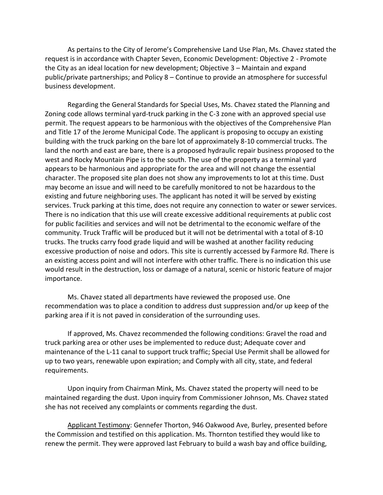As pertains to the City of Jerome's Comprehensive Land Use Plan, Ms. Chavez stated the request is in accordance with Chapter Seven, Economic Development: Objective 2 - Promote the City as an ideal location for new development; Objective 3 – Maintain and expand public/private partnerships; and Policy 8 – Continue to provide an atmosphere for successful business development.

Regarding the General Standards for Special Uses, Ms. Chavez stated the Planning and Zoning code allows terminal yard-truck parking in the C-3 zone with an approved special use permit. The request appears to be harmonious with the objectives of the Comprehensive Plan and Title 17 of the Jerome Municipal Code. The applicant is proposing to occupy an existing building with the truck parking on the bare lot of approximately 8-10 commercial trucks. The land the north and east are bare, there is a proposed hydraulic repair business proposed to the west and Rocky Mountain Pipe is to the south. The use of the property as a terminal yard appears to be harmonious and appropriate for the area and will not change the essential character. The proposed site plan does not show any improvements to lot at this time. Dust may become an issue and will need to be carefully monitored to not be hazardous to the existing and future neighboring uses. The applicant has noted it will be served by existing services. Truck parking at this time, does not require any connection to water or sewer services. There is no indication that this use will create excessive additional requirements at public cost for public facilities and services and will not be detrimental to the economic welfare of the community. Truck Traffic will be produced but it will not be detrimental with a total of 8-10 trucks. The trucks carry food grade liquid and will be washed at another facility reducing excessive production of noise and odors. This site is currently accessed by Farmore Rd. There is an existing access point and will not interfere with other traffic. There is no indication this use would result in the destruction, loss or damage of a natural, scenic or historic feature of major importance.

Ms. Chavez stated all departments have reviewed the proposed use. One recommendation was to place a condition to address dust suppression and/or up keep of the parking area if it is not paved in consideration of the surrounding uses.

If approved, Ms. Chavez recommended the following conditions: Gravel the road and truck parking area or other uses be implemented to reduce dust; Adequate cover and maintenance of the L-11 canal to support truck traffic; Special Use Permit shall be allowed for up to two years, renewable upon expiration; and Comply with all city, state, and federal requirements.

Upon inquiry from Chairman Mink, Ms. Chavez stated the property will need to be maintained regarding the dust. Upon inquiry from Commissioner Johnson, Ms. Chavez stated she has not received any complaints or comments regarding the dust.

Applicant Testimony: Gennefer Thorton, 946 Oakwood Ave, Burley, presented before the Commission and testified on this application. Ms. Thornton testified they would like to renew the permit. They were approved last February to build a wash bay and office building,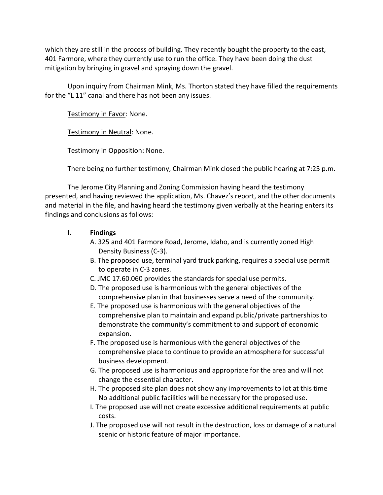which they are still in the process of building. They recently bought the property to the east, 401 Farmore, where they currently use to run the office. They have been doing the dust mitigation by bringing in gravel and spraying down the gravel.

Upon inquiry from Chairman Mink, Ms. Thorton stated they have filled the requirements for the "L 11" canal and there has not been any issues.

Testimony in Favor: None.

Testimony in Neutral: None.

Testimony in Opposition: None.

There being no further testimony, Chairman Mink closed the public hearing at 7:25 p.m.

The Jerome City Planning and Zoning Commission having heard the testimony presented, and having reviewed the application, Ms. Chavez's report, and the other documents and material in the file, and having heard the testimony given verbally at the hearing enters its findings and conclusions as follows:

# **I. Findings**

- A. 325 and 401 Farmore Road, Jerome, Idaho, and is currently zoned High Density Business (C-3).
- B. The proposed use, terminal yard truck parking, requires a special use permit to operate in C-3 zones.
- C. JMC 17.60.060 provides the standards for special use permits.
- D. The proposed use is harmonious with the general objectives of the comprehensive plan in that businesses serve a need of the community.
- E. The proposed use is harmonious with the general objectives of the comprehensive plan to maintain and expand public/private partnerships to demonstrate the community's commitment to and support of economic expansion.
- F. The proposed use is harmonious with the general objectives of the comprehensive place to continue to provide an atmosphere for successful business development.
- G. The proposed use is harmonious and appropriate for the area and will not change the essential character.
- H. The proposed site plan does not show any improvements to lot at this time No additional public facilities will be necessary for the proposed use.
- I. The proposed use will not create excessive additional requirements at public costs.
- J. The proposed use will not result in the destruction, loss or damage of a natural scenic or historic feature of major importance.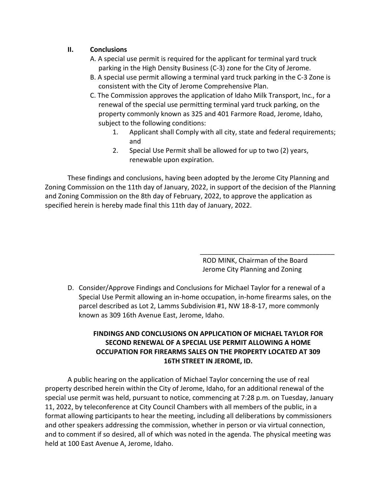# **II. Conclusions**

- A. A special use permit is required for the applicant for terminal yard truck parking in the High Density Business (C-3) zone for the City of Jerome.
- B. A special use permit allowing a terminal yard truck parking in the C-3 Zone is consistent with the City of Jerome Comprehensive Plan.
- C. The Commission approves the application of Idaho Milk Transport, Inc., for a renewal of the special use permitting terminal yard truck parking, on the property commonly known as 325 and 401 Farmore Road, Jerome, Idaho, subject to the following conditions:
	- 1. Applicant shall Comply with all city, state and federal requirements; and
	- 2. Special Use Permit shall be allowed for up to two (2) years, renewable upon expiration.

These findings and conclusions, having been adopted by the Jerome City Planning and Zoning Commission on the 11th day of January, 2022, in support of the decision of the Planning and Zoning Commission on the 8th day of February, 2022, to approve the application as specified herein is hereby made final this 11th day of January, 2022.

> ROD MINK, Chairman of the Board Jerome City Planning and Zoning

\_\_\_\_\_\_\_\_\_\_\_\_\_\_\_\_\_\_\_\_\_\_\_\_\_\_\_\_\_\_\_\_\_\_\_\_

D. Consider/Approve Findings and Conclusions for Michael Taylor for a renewal of a Special Use Permit allowing an in-home occupation, in-home firearms sales, on the parcel described as Lot 2, Lamms Subdivision #1, NW 18-8-17, more commonly known as 309 16th Avenue East, Jerome, Idaho.

# **FINDINGS AND CONCLUSIONS ON APPLICATION OF MICHAEL TAYLOR FOR SECOND RENEWAL OF A SPECIAL USE PERMIT ALLOWING A HOME OCCUPATION FOR FIREARMS SALES ON THE PROPERTY LOCATED AT 309 16TH STREET IN JEROME, ID.**

A public hearing on the application of Michael Taylor concerning the use of real property described herein within the City of Jerome, Idaho, for an additional renewal of the special use permit was held, pursuant to notice, commencing at 7:28 p.m. on Tuesday, January 11, 2022, by teleconference at City Council Chambers with all members of the public, in a format allowing participants to hear the meeting, including all deliberations by commissioners and other speakers addressing the commission, whether in person or via virtual connection, and to comment if so desired, all of which was noted in the agenda. The physical meeting was held at 100 East Avenue A, Jerome, Idaho.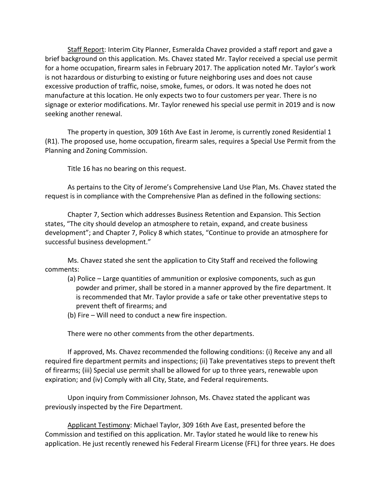Staff Report: Interim City Planner, Esmeralda Chavez provided a staff report and gave a brief background on this application. Ms. Chavez stated Mr. Taylor received a special use permit for a home occupation, firearm sales in February 2017. The application noted Mr. Taylor's work is not hazardous or disturbing to existing or future neighboring uses and does not cause excessive production of traffic, noise, smoke, fumes, or odors. It was noted he does not manufacture at this location. He only expects two to four customers per year. There is no signage or exterior modifications. Mr. Taylor renewed his special use permit in 2019 and is now seeking another renewal.

The property in question, 309 16th Ave East in Jerome, is currently zoned Residential 1 (R1). The proposed use, home occupation, firearm sales, requires a Special Use Permit from the Planning and Zoning Commission.

Title 16 has no bearing on this request.

As pertains to the City of Jerome's Comprehensive Land Use Plan, Ms. Chavez stated the request is in compliance with the Comprehensive Plan as defined in the following sections:

Chapter 7, Section which addresses Business Retention and Expansion. This Section states, "The city should develop an atmosphere to retain, expand, and create business development"; and Chapter 7, Policy 8 which states, "Continue to provide an atmosphere for successful business development."

Ms. Chavez stated she sent the application to City Staff and received the following comments:

- (a) Police Large quantities of ammunition or explosive components, such as gun powder and primer, shall be stored in a manner approved by the fire department. It is recommended that Mr. Taylor provide a safe or take other preventative steps to prevent theft of firearms; and
- (b) Fire Will need to conduct a new fire inspection.

There were no other comments from the other departments.

If approved, Ms. Chavez recommended the following conditions: (i) Receive any and all required fire department permits and inspections; (ii) Take preventatives steps to prevent theft of firearms; (iii) Special use permit shall be allowed for up to three years, renewable upon expiration; and (iv) Comply with all City, State, and Federal requirements.

Upon inquiry from Commissioner Johnson, Ms. Chavez stated the applicant was previously inspected by the Fire Department.

Applicant Testimony: Michael Taylor, 309 16th Ave East, presented before the Commission and testified on this application. Mr. Taylor stated he would like to renew his application. He just recently renewed his Federal Firearm License (FFL) for three years. He does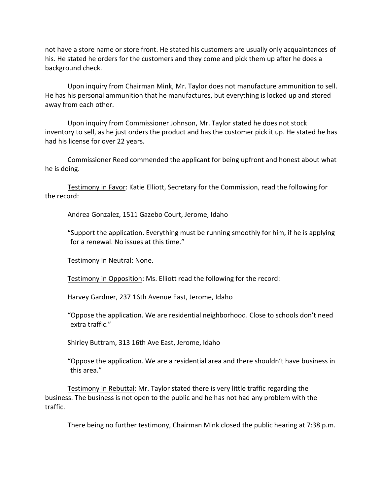not have a store name or store front. He stated his customers are usually only acquaintances of his. He stated he orders for the customers and they come and pick them up after he does a background check.

Upon inquiry from Chairman Mink, Mr. Taylor does not manufacture ammunition to sell. He has his personal ammunition that he manufactures, but everything is locked up and stored away from each other.

Upon inquiry from Commissioner Johnson, Mr. Taylor stated he does not stock inventory to sell, as he just orders the product and has the customer pick it up. He stated he has had his license for over 22 years.

Commissioner Reed commended the applicant for being upfront and honest about what he is doing.

Testimony in Favor: Katie Elliott, Secretary for the Commission, read the following for the record:

Andrea Gonzalez, 1511 Gazebo Court, Jerome, Idaho

"Support the application. Everything must be running smoothly for him, if he is applying for a renewal. No issues at this time."

Testimony in Neutral: None.

Testimony in Opposition: Ms. Elliott read the following for the record:

Harvey Gardner, 237 16th Avenue East, Jerome, Idaho

"Oppose the application. We are residential neighborhood. Close to schools don't need extra traffic."

Shirley Buttram, 313 16th Ave East, Jerome, Idaho

"Oppose the application. We are a residential area and there shouldn't have business in this area."

Testimony in Rebuttal: Mr. Taylor stated there is very little traffic regarding the business. The business is not open to the public and he has not had any problem with the traffic.

There being no further testimony, Chairman Mink closed the public hearing at 7:38 p.m.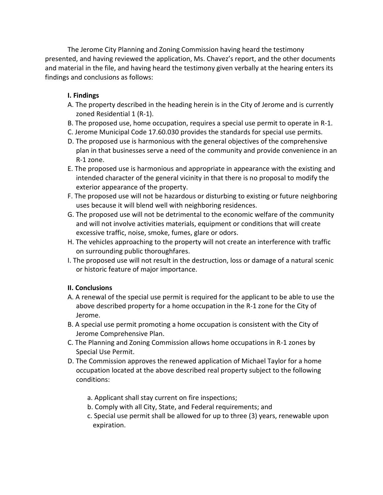The Jerome City Planning and Zoning Commission having heard the testimony presented, and having reviewed the application, Ms. Chavez's report, and the other documents and material in the file, and having heard the testimony given verbally at the hearing enters its findings and conclusions as follows:

#### **I. Findings**

- A. The property described in the heading herein is in the City of Jerome and is currently zoned Residential 1 (R-1).
- B. The proposed use, home occupation, requires a special use permit to operate in R-1.
- C. Jerome Municipal Code 17.60.030 provides the standards for special use permits.
- D. The proposed use is harmonious with the general objectives of the comprehensive plan in that businesses serve a need of the community and provide convenience in an R-1 zone.
- E. The proposed use is harmonious and appropriate in appearance with the existing and intended character of the general vicinity in that there is no proposal to modify the exterior appearance of the property.
- F. The proposed use will not be hazardous or disturbing to existing or future neighboring uses because it will blend well with neighboring residences.
- G. The proposed use will not be detrimental to the economic welfare of the community and will not involve activities materials, equipment or conditions that will create excessive traffic, noise, smoke, fumes, glare or odors.
- H. The vehicles approaching to the property will not create an interference with traffic on surrounding public thoroughfares.
- I. The proposed use will not result in the destruction, loss or damage of a natural scenic or historic feature of major importance.

#### **II. Conclusions**

- A. A renewal of the special use permit is required for the applicant to be able to use the above described property for a home occupation in the R-1 zone for the City of Jerome.
- B. A special use permit promoting a home occupation is consistent with the City of Jerome Comprehensive Plan.
- C. The Planning and Zoning Commission allows home occupations in R-1 zones by Special Use Permit.
- D. The Commission approves the renewed application of Michael Taylor for a home occupation located at the above described real property subject to the following conditions:
	- a. Applicant shall stay current on fire inspections;
	- b. Comply with all City, State, and Federal requirements; and
	- c. Special use permit shall be allowed for up to three (3) years, renewable upon expiration.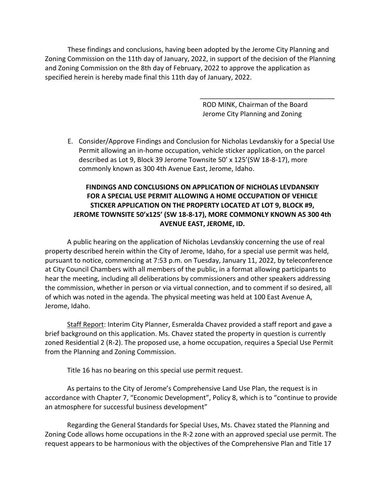These findings and conclusions, having been adopted by the Jerome City Planning and Zoning Commission on the 11th day of January, 2022, in support of the decision of the Planning and Zoning Commission on the 8th day of February, 2022 to approve the application as specified herein is hereby made final this 11th day of January, 2022.

> ROD MINK, Chairman of the Board Jerome City Planning and Zoning

\_\_\_\_\_\_\_\_\_\_\_\_\_\_\_\_\_\_\_\_\_\_\_\_\_\_\_\_\_\_\_\_\_\_\_\_

E. Consider/Approve Findings and Conclusion for Nicholas Levdanskiy for a Special Use Permit allowing an in-home occupation, vehicle sticker application, on the parcel described as Lot 9, Block 39 Jerome Townsite 50' x 125'(SW 18-8-17), more commonly known as 300 4th Avenue East, Jerome, Idaho.

# **FINDINGS AND CONCLUSIONS ON APPLICATION OF NICHOLAS LEVDANSKIY FOR A SPECIAL USE PERMIT ALLOWING A HOME OCCUPATION OF VEHICLE STICKER APPLICATION ON THE PROPERTY LOCATED AT LOT 9, BLOCK #9, JEROME TOWNSITE 50'x125' (SW 18-8-17), MORE COMMONLY KNOWN AS 300 4th AVENUE EAST, JEROME, ID.**

A public hearing on the application of Nicholas Levdanskiy concerning the use of real property described herein within the City of Jerome, Idaho, for a special use permit was held, pursuant to notice, commencing at 7:53 p.m. on Tuesday, January 11, 2022, by teleconference at City Council Chambers with all members of the public, in a format allowing participants to hear the meeting, including all deliberations by commissioners and other speakers addressing the commission, whether in person or via virtual connection, and to comment if so desired, all of which was noted in the agenda. The physical meeting was held at 100 East Avenue A, Jerome, Idaho.

Staff Report: Interim City Planner, Esmeralda Chavez provided a staff report and gave a brief background on this application. Ms. Chavez stated the property in question is currently zoned Residential 2 (R-2). The proposed use, a home occupation, requires a Special Use Permit from the Planning and Zoning Commission.

Title 16 has no bearing on this special use permit request.

As pertains to the City of Jerome's Comprehensive Land Use Plan, the request is in accordance with Chapter 7, "Economic Development", Policy 8, which is to "continue to provide an atmosphere for successful business development"

Regarding the General Standards for Special Uses, Ms. Chavez stated the Planning and Zoning Code allows home occupations in the R-2 zone with an approved special use permit. The request appears to be harmonious with the objectives of the Comprehensive Plan and Title 17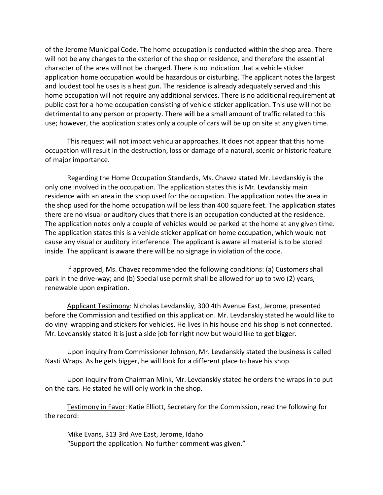of the Jerome Municipal Code. The home occupation is conducted within the shop area. There will not be any changes to the exterior of the shop or residence, and therefore the essential character of the area will not be changed. There is no indication that a vehicle sticker application home occupation would be hazardous or disturbing. The applicant notes the largest and loudest tool he uses is a heat gun. The residence is already adequately served and this home occupation will not require any additional services. There is no additional requirement at public cost for a home occupation consisting of vehicle sticker application. This use will not be detrimental to any person or property. There will be a small amount of traffic related to this use; however, the application states only a couple of cars will be up on site at any given time.

This request will not impact vehicular approaches. It does not appear that this home occupation will result in the destruction, loss or damage of a natural, scenic or historic feature of major importance.

Regarding the Home Occupation Standards, Ms. Chavez stated Mr. Levdanskiy is the only one involved in the occupation. The application states this is Mr. Levdanskiy main residence with an area in the shop used for the occupation. The application notes the area in the shop used for the home occupation will be less than 400 square feet. The application states there are no visual or auditory clues that there is an occupation conducted at the residence. The application notes only a couple of vehicles would be parked at the home at any given time. The application states this is a vehicle sticker application home occupation, which would not cause any visual or auditory interference. The applicant is aware all material is to be stored inside. The applicant is aware there will be no signage in violation of the code.

If approved, Ms. Chavez recommended the following conditions: (a) Customers shall park in the drive-way; and (b) Special use permit shall be allowed for up to two (2) years, renewable upon expiration.

Applicant Testimony: Nicholas Levdanskiy, 300 4th Avenue East, Jerome, presented before the Commission and testified on this application. Mr. Levdanskiy stated he would like to do vinyl wrapping and stickers for vehicles. He lives in his house and his shop is not connected. Mr. Levdanskiy stated it is just a side job for right now but would like to get bigger.

Upon inquiry from Commissioner Johnson, Mr. Levdanskiy stated the business is called Nasti Wraps. As he gets bigger, he will look for a different place to have his shop.

Upon inquiry from Chairman Mink, Mr. Levdanskiy stated he orders the wraps in to put on the cars. He stated he will only work in the shop.

Testimony in Favor: Katie Elliott, Secretary for the Commission, read the following for the record:

Mike Evans, 313 3rd Ave East, Jerome, Idaho "Support the application. No further comment was given."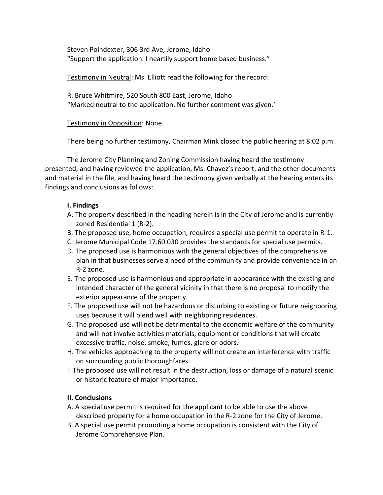Steven Poindexter, 306 3rd Ave, Jerome, Idaho "Support the application. I heartily support home based business."

Testimony in Neutral: Ms. Elliott read the following for the record:

R. Bruce Whitmire, 520 South 800 East, Jerome, Idaho "Marked neutral to the application. No further comment was given.'

# Testimony in Opposition: None.

There being no further testimony, Chairman Mink closed the public hearing at 8:02 p.m.

The Jerome City Planning and Zoning Commission having heard the testimony presented, and having reviewed the application, Ms. Chavez's report, and the other documents and material in the file, and having heard the testimony given verbally at the hearing enters its findings and conclusions as follows:

#### **I. Findings**

- A. The property described in the heading herein is in the City of Jerome and is currently zoned Residential 1 (R-2).
- B. The proposed use, home occupation, requires a special use permit to operate in R-1.
- C. Jerome Municipal Code 17.60.030 provides the standards for special use permits.
- D. The proposed use is harmonious with the general objectives of the comprehensive plan in that businesses serve a need of the community and provide convenience in an R-2 zone.
- E. The proposed use is harmonious and appropriate in appearance with the existing and intended character of the general vicinity in that there is no proposal to modify the exterior appearance of the property.
- F. The proposed use will not be hazardous or disturbing to existing or future neighboring uses because it will blend well with neighboring residences.
- G. The proposed use will not be detrimental to the economic welfare of the community and will not involve activities materials, equipment or conditions that will create excessive traffic, noise, smoke, fumes, glare or odors.
- H. The vehicles approaching to the property will not create an interference with traffic on surrounding public thoroughfares.
- I. The proposed use will not result in the destruction, loss or damage of a natural scenic or historic feature of major importance.

# **II. Conclusions**

- A. A special use permit is required for the applicant to be able to use the above described property for a home occupation in the R-2 zone for the City of Jerome.
- B. A special use permit promoting a home occupation is consistent with the City of Jerome Comprehensive Plan.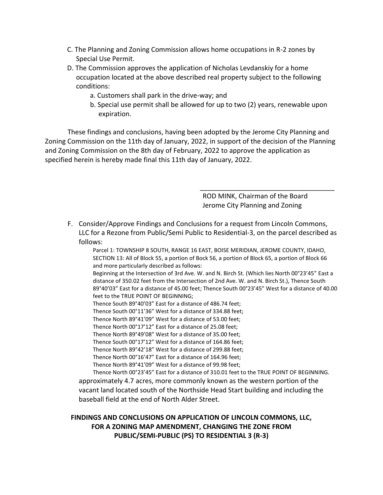- C. The Planning and Zoning Commission allows home occupations in R-2 zones by Special Use Permit.
- D. The Commission approves the application of Nicholas Levdanskiy for a home occupation located at the above described real property subject to the following conditions:
	- a. Customers shall park in the drive-way; and
	- b. Special use permit shall be allowed for up to two (2) years, renewable upon expiration.

These findings and conclusions, having been adopted by the Jerome City Planning and Zoning Commission on the 11th day of January, 2022, in support of the decision of the Planning and Zoning Commission on the 8th day of February, 2022 to approve the application as specified herein is hereby made final this 11th day of January, 2022.

> ROD MINK, Chairman of the Board Jerome City Planning and Zoning

\_\_\_\_\_\_\_\_\_\_\_\_\_\_\_\_\_\_\_\_\_\_\_\_\_\_\_\_\_\_\_\_\_\_\_\_

F. Consider/Approve Findings and Conclusions for a request from Lincoln Commons, LLC for a Rezone from Public/Semi Public to Residential-3, on the parcel described as follows:

Parcel 1: TOWNSHIP 8 SOUTH, RANGE 16 EAST, BOISE MERIDIAN, JEROME COUNTY, IDAHO, SECTION 13: All of Block 55, a portion of Bock 56, a portion of Block 65, a portion of Block 66 and more particularly described as follows:

Beginning at the Intersection of 3rd Ave. W. and N. Birch St. (Which lies North 00°23'45" East a distance of 350.02 feet from the Intersection of 2nd Ave. W. and N. Birch St.), Thence South 89°40'03" East for a distance of 45.00 feet; Thence South 00°23'45" West for a distance of 40.00 feet to the TRUE POINT OF BEGINNING;

Thence South 89°40'03" East for a distance of 486.74 feet;

Thence South 00°11'36" West for a distance of 334.88 feet;

Thence North 89°41'09" West for a distance of 53.00 feet;

Thence North 00°17'12" East for a distance of 25.08 feet;

Thence North 89°49'08" West for a distance of 35.00 feet;

Thence South 00°17'12" West for a distance of 164.86 feet; Thence North 89°42'18" West for a distance of 299.88 feet;

Thence North 00°16'47" East for a distance of 164.96 feet;

Thence North 89°41'09" West for a distance of 99.98 feet;

Thence North 00°23'45" East for a distance of 310.01 feet to the TRUE POINT OF BEGINNING. approximately 4.7 acres, more commonly known as the western portion of the vacant land located south of the Northside Head Start building and including the baseball field at the end of North Alder Street.

# **FINDINGS AND CONCLUSIONS ON APPLICATION OF LINCOLN COMMONS, LLC, FOR A ZONING MAP AMENDMENT, CHANGING THE ZONE FROM PUBLIC/SEMI-PUBLIC (PS) TO RESIDENTIAL 3 (R-3)**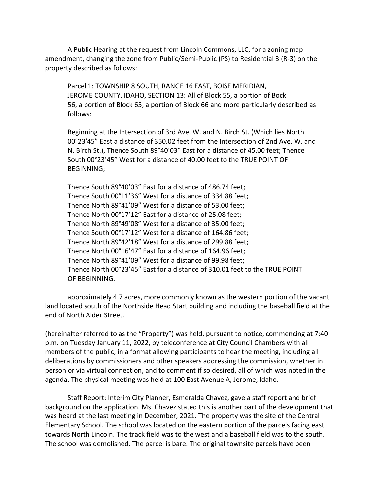A Public Hearing at the request from Lincoln Commons, LLC, for a zoning map amendment, changing the zone from Public/Semi-Public (PS) to Residential 3 (R-3) on the property described as follows:

Parcel 1: TOWNSHIP 8 SOUTH, RANGE 16 EAST, BOISE MERIDIAN, JEROME COUNTY, IDAHO, SECTION 13: All of Block 55, a portion of Bock 56, a portion of Block 65, a portion of Block 66 and more particularly described as follows:

Beginning at the Intersection of 3rd Ave. W. and N. Birch St. (Which lies North 00°23'45" East a distance of 350.02 feet from the Intersection of 2nd Ave. W. and N. Birch St.), Thence South 89°40'03" East for a distance of 45.00 feet; Thence South 00°23'45" West for a distance of 40.00 feet to the TRUE POINT OF BEGINNING;

Thence South 89°40'03" East for a distance of 486.74 feet; Thence South 00°11'36" West for a distance of 334.88 feet; Thence North 89°41'09" West for a distance of 53.00 feet; Thence North 00°17'12" East for a distance of 25.08 feet; Thence North 89°49'08" West for a distance of 35.00 feet; Thence South 00°17'12" West for a distance of 164.86 feet; Thence North 89°42'18" West for a distance of 299.88 feet; Thence North 00°16'47" East for a distance of 164.96 feet; Thence North 89°41'09" West for a distance of 99.98 feet; Thence North 00°23'45" East for a distance of 310.01 feet to the TRUE POINT OF BEGINNING.

approximately 4.7 acres, more commonly known as the western portion of the vacant land located south of the Northside Head Start building and including the baseball field at the end of North Alder Street.

(hereinafter referred to as the "Property") was held, pursuant to notice, commencing at 7:40 p.m. on Tuesday January 11, 2022, by teleconference at City Council Chambers with all members of the public, in a format allowing participants to hear the meeting, including all deliberations by commissioners and other speakers addressing the commission, whether in person or via virtual connection, and to comment if so desired, all of which was noted in the agenda. The physical meeting was held at 100 East Avenue A, Jerome, Idaho.

Staff Report: Interim City Planner, Esmeralda Chavez, gave a staff report and brief background on the application. Ms. Chavez stated this is another part of the development that was heard at the last meeting in December, 2021. The property was the site of the Central Elementary School. The school was located on the eastern portion of the parcels facing east towards North Lincoln. The track field was to the west and a baseball field was to the south. The school was demolished. The parcel is bare. The original townsite parcels have been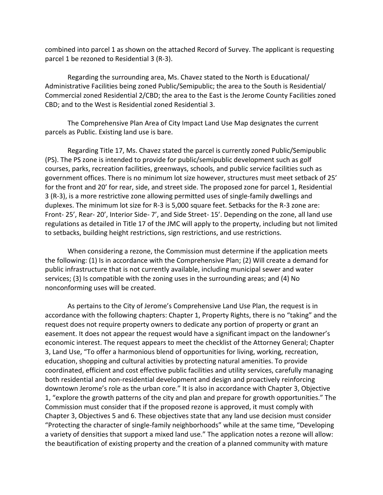combined into parcel 1 as shown on the attached Record of Survey. The applicant is requesting parcel 1 be rezoned to Residential 3 (R-3).

Regarding the surrounding area, Ms. Chavez stated to the North is Educational/ Administrative Facilities being zoned Public/Semipublic; the area to the South is Residential/ Commercial zoned Residential 2/CBD; the area to the East is the Jerome County Facilities zoned CBD; and to the West is Residential zoned Residential 3.

The Comprehensive Plan Area of City Impact Land Use Map designates the current parcels as Public. Existing land use is bare.

Regarding Title 17, Ms. Chavez stated the parcel is currently zoned Public/Semipublic (PS). The PS zone is intended to provide for public/semipublic development such as golf courses, parks, recreation facilities, greenways, schools, and public service facilities such as government offices. There is no minimum lot size however, structures must meet setback of 25' for the front and 20' for rear, side, and street side. The proposed zone for parcel 1, Residential 3 (R-3), is a more restrictive zone allowing permitted uses of single-family dwellings and duplexes. The minimum lot size for R-3 is 5,000 square feet. Setbacks for the R-3 zone are: Front- 25', Rear- 20', Interior Side- 7', and Side Street- 15'. Depending on the zone, all land use regulations as detailed in Title 17 of the JMC will apply to the property, including but not limited to setbacks, building height restrictions, sign restrictions, and use restrictions.

When considering a rezone, the Commission must determine if the application meets the following: (1) Is in accordance with the Comprehensive Plan; (2) Will create a demand for public infrastructure that is not currently available, including municipal sewer and water services; (3) Is compatible with the zoning uses in the surrounding areas; and (4) No nonconforming uses will be created.

As pertains to the City of Jerome's Comprehensive Land Use Plan, the request is in accordance with the following chapters: Chapter 1, Property Rights, there is no "taking" and the request does not require property owners to dedicate any portion of property or grant an easement. It does not appear the request would have a significant impact on the landowner's economic interest. The request appears to meet the checklist of the Attorney General; Chapter 3, Land Use, "To offer a harmonious blend of opportunities for living, working, recreation, education, shopping and cultural activities by protecting natural amenities. To provide coordinated, efficient and cost effective public facilities and utility services, carefully managing both residential and non-residential development and design and proactively reinforcing downtown Jerome's role as the urban core." It is also in accordance with Chapter 3, Objective 1, "explore the growth patterns of the city and plan and prepare for growth opportunities." The Commission must consider that if the proposed rezone is approved, it must comply with Chapter 3, Objectives 5 and 6. These objectives state that any land use decision must consider "Protecting the character of single-family neighborhoods" while at the same time, "Developing a variety of densities that support a mixed land use." The application notes a rezone will allow: the beautification of existing property and the creation of a planned community with mature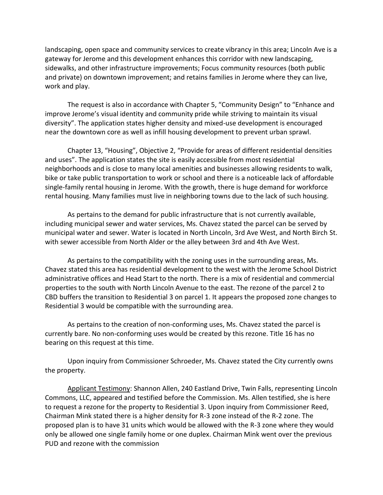landscaping, open space and community services to create vibrancy in this area; Lincoln Ave is a gateway for Jerome and this development enhances this corridor with new landscaping, sidewalks, and other infrastructure improvements; Focus community resources (both public and private) on downtown improvement; and retains families in Jerome where they can live, work and play.

The request is also in accordance with Chapter 5, "Community Design" to "Enhance and improve Jerome's visual identity and community pride while striving to maintain its visual diversity". The application states higher density and mixed-use development is encouraged near the downtown core as well as infill housing development to prevent urban sprawl.

Chapter 13, "Housing", Objective 2, "Provide for areas of different residential densities and uses". The application states the site is easily accessible from most residential neighborhoods and is close to many local amenities and businesses allowing residents to walk, bike or take public transportation to work or school and there is a noticeable lack of affordable single-family rental housing in Jerome. With the growth, there is huge demand for workforce rental housing. Many families must live in neighboring towns due to the lack of such housing.

As pertains to the demand for public infrastructure that is not currently available, including municipal sewer and water services, Ms. Chavez stated the parcel can be served by municipal water and sewer. Water is located in North Lincoln, 3rd Ave West, and North Birch St. with sewer accessible from North Alder or the alley between 3rd and 4th Ave West.

As pertains to the compatibility with the zoning uses in the surrounding areas, Ms. Chavez stated this area has residential development to the west with the Jerome School District administrative offices and Head Start to the north. There is a mix of residential and commercial properties to the south with North Lincoln Avenue to the east. The rezone of the parcel 2 to CBD buffers the transition to Residential 3 on parcel 1. It appears the proposed zone changes to Residential 3 would be compatible with the surrounding area.

As pertains to the creation of non-conforming uses, Ms. Chavez stated the parcel is currently bare. No non-conforming uses would be created by this rezone. Title 16 has no bearing on this request at this time.

Upon inquiry from Commissioner Schroeder, Ms. Chavez stated the City currently owns the property.

Applicant Testimony: Shannon Allen, 240 Eastland Drive, Twin Falls, representing Lincoln Commons, LLC, appeared and testified before the Commission. Ms. Allen testified, she is here to request a rezone for the property to Residential 3. Upon inquiry from Commissioner Reed, Chairman Mink stated there is a higher density for R-3 zone instead of the R-2 zone. The proposed plan is to have 31 units which would be allowed with the R-3 zone where they would only be allowed one single family home or one duplex. Chairman Mink went over the previous PUD and rezone with the commission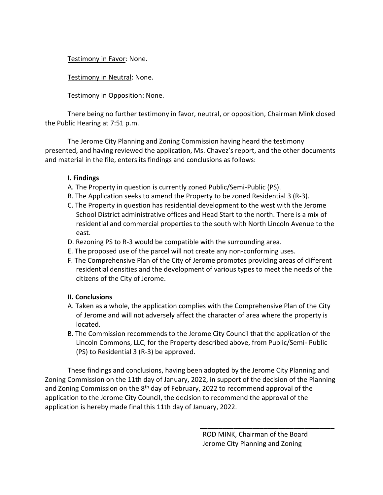Testimony in Favor: None.

Testimony in Neutral: None.

Testimony in Opposition: None.

There being no further testimony in favor, neutral, or opposition, Chairman Mink closed the Public Hearing at 7:51 p.m.

The Jerome City Planning and Zoning Commission having heard the testimony presented, and having reviewed the application, Ms. Chavez's report, and the other documents and material in the file, enters its findings and conclusions as follows:

# **I. Findings**

- A. The Property in question is currently zoned Public/Semi-Public (PS).
- B. The Application seeks to amend the Property to be zoned Residential 3 (R-3).
- C. The Property in question has residential development to the west with the Jerome School District administrative offices and Head Start to the north. There is a mix of residential and commercial properties to the south with North Lincoln Avenue to the east.
- D. Rezoning PS to R-3 would be compatible with the surrounding area.
- E. The proposed use of the parcel will not create any non-conforming uses.
- F. The Comprehensive Plan of the City of Jerome promotes providing areas of different residential densities and the development of various types to meet the needs of the citizens of the City of Jerome.

# **II. Conclusions**

- A. Taken as a whole, the application complies with the Comprehensive Plan of the City of Jerome and will not adversely affect the character of area where the property is located.
- B. The Commission recommends to the Jerome City Council that the application of the Lincoln Commons, LLC, for the Property described above, from Public/Semi- Public (PS) to Residential 3 (R-3) be approved.

These findings and conclusions, having been adopted by the Jerome City Planning and Zoning Commission on the 11th day of January, 2022, in support of the decision of the Planning and Zoning Commission on the 8<sup>th</sup> day of February, 2022 to recommend approval of the application to the Jerome City Council, the decision to recommend the approval of the application is hereby made final this 11th day of January, 2022.

\_\_\_\_\_\_\_\_\_\_\_\_\_\_\_\_\_\_\_\_\_\_\_\_\_\_\_\_\_\_\_\_\_\_\_\_